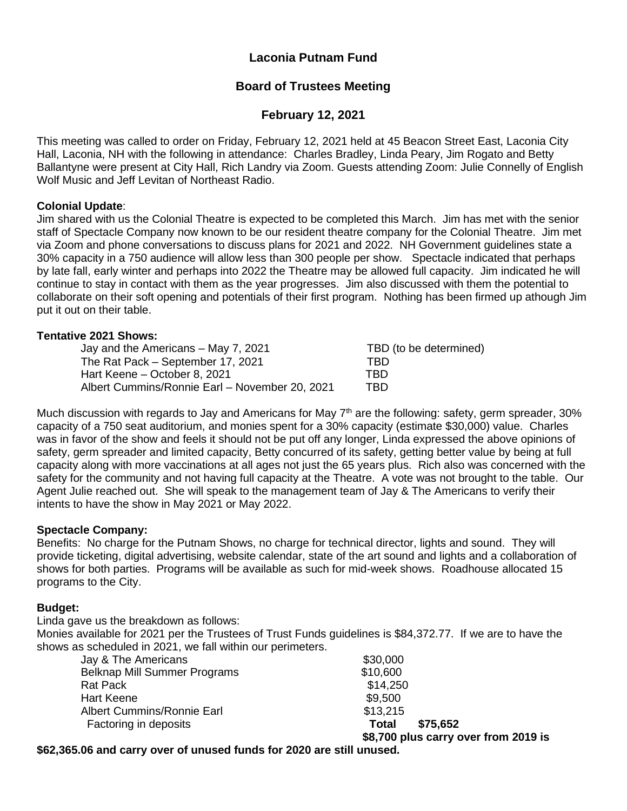# **Laconia Putnam Fund**

# **Board of Trustees Meeting**

# **February 12, 2021**

This meeting was called to order on Friday, February 12, 2021 held at 45 Beacon Street East, Laconia City Hall, Laconia, NH with the following in attendance: Charles Bradley, Linda Peary, Jim Rogato and Betty Ballantyne were present at City Hall, Rich Landry via Zoom. Guests attending Zoom: Julie Connelly of English Wolf Music and Jeff Levitan of Northeast Radio.

## **Colonial Update**:

Jim shared with us the Colonial Theatre is expected to be completed this March. Jim has met with the senior staff of Spectacle Company now known to be our resident theatre company for the Colonial Theatre. Jim met via Zoom and phone conversations to discuss plans for 2021 and 2022. NH Government guidelines state a 30% capacity in a 750 audience will allow less than 300 people per show. Spectacle indicated that perhaps by late fall, early winter and perhaps into 2022 the Theatre may be allowed full capacity. Jim indicated he will continue to stay in contact with them as the year progresses. Jim also discussed with them the potential to collaborate on their soft opening and potentials of their first program. Nothing has been firmed up athough Jim put it out on their table.

## **Tentative 2021 Shows:**

| Jay and the Americans – May 7, 2021            | TBD (to be determined) |
|------------------------------------------------|------------------------|
| The Rat Pack – September 17, 2021              | TBD.                   |
| Hart Keene – October 8, 2021                   | TBD                    |
| Albert Cummins/Ronnie Earl - November 20, 2021 | TBD                    |

Much discussion with regards to Jay and Americans for May  $7<sup>th</sup>$  are the following: safety, germ spreader, 30% capacity of a 750 seat auditorium, and monies spent for a 30% capacity (estimate \$30,000) value. Charles was in favor of the show and feels it should not be put off any longer, Linda expressed the above opinions of safety, germ spreader and limited capacity, Betty concurred of its safety, getting better value by being at full capacity along with more vaccinations at all ages not just the 65 years plus. Rich also was concerned with the safety for the community and not having full capacity at the Theatre. A vote was not brought to the table. Our Agent Julie reached out. She will speak to the management team of Jay & The Americans to verify their intents to have the show in May 2021 or May 2022.

## **Spectacle Company:**

Benefits: No charge for the Putnam Shows, no charge for technical director, lights and sound. They will provide ticketing, digital advertising, website calendar, state of the art sound and lights and a collaboration of shows for both parties. Programs will be available as such for mid-week shows. Roadhouse allocated 15 programs to the City.

## **Budget:**

Linda gave us the breakdown as follows:

Monies available for 2021 per the Trustees of Trust Funds guidelines is \$84,372.77. If we are to have the shows as scheduled in 2021, we fall within our perimeters.

|                                     | \$8,700 plus carry over from 2019 is |          |
|-------------------------------------|--------------------------------------|----------|
| Factoring in deposits               | Total                                | \$75,652 |
| <b>Albert Cummins/Ronnie Earl</b>   | \$13,215                             |          |
| Hart Keene                          | \$9,500                              |          |
| <b>Rat Pack</b>                     | \$14,250                             |          |
| <b>Belknap Mill Summer Programs</b> | \$10,600                             |          |
| Jay & The Americans                 | \$30,000                             |          |

**\$62,365.06 and carry over of unused funds for 2020 are still unused.**